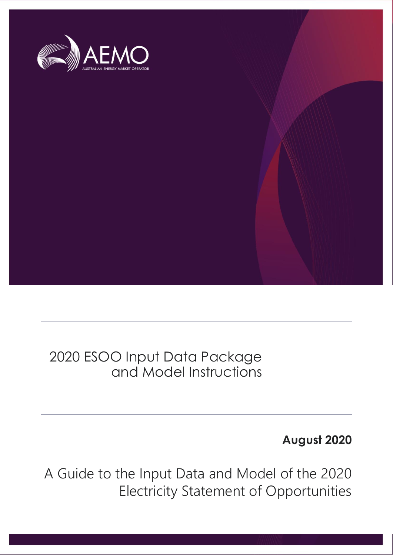

## 2020 ESOO Input Data Package and Model Instructions

## **August 2020**

A Guide to the Input Data and Model of the 2020 Electricity Statement of Opportunities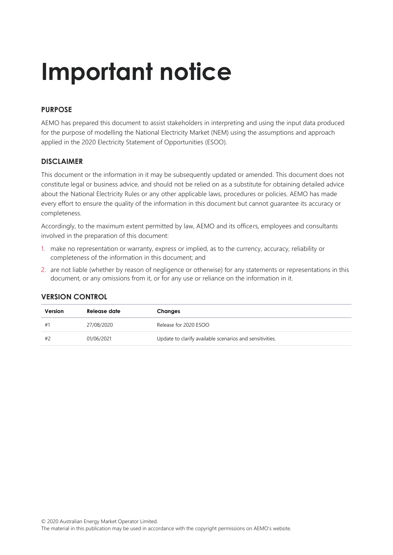# **Important notice**

### **PURPOSE**

AEMO has prepared this document to assist stakeholders in interpreting and using the input data produced for the purpose of modelling the National Electricity Market (NEM) using the assumptions and approach applied in the 2020 Electricity Statement of Opportunities (ESOO).

#### **DISCLAIMER**

This document or the information in it may be subsequently updated or amended. This document does not constitute legal or business advice, and should not be relied on as a substitute for obtaining detailed advice about the National Electricity Rules or any other applicable laws, procedures or policies. AEMO has made every effort to ensure the quality of the information in this document but cannot guarantee its accuracy or completeness.

Accordingly, to the maximum extent permitted by law, AEMO and its officers, employees and consultants involved in the preparation of this document:

- 1. make no representation or warranty, express or implied, as to the currency, accuracy, reliability or completeness of the information in this document; and
- 2. are not liable (whether by reason of negligence or otherwise) for any statements or representations in this document, or any omissions from it, or for any use or reliance on the information in it.

| Version | Release date | Changes                                                  |
|---------|--------------|----------------------------------------------------------|
| #1      | 27/08/2020   | Release for 2020 ESOO                                    |
| #2      | 01/06/2021   | Update to clarify available scenarios and sensitivities. |

#### **VERSION CONTROL**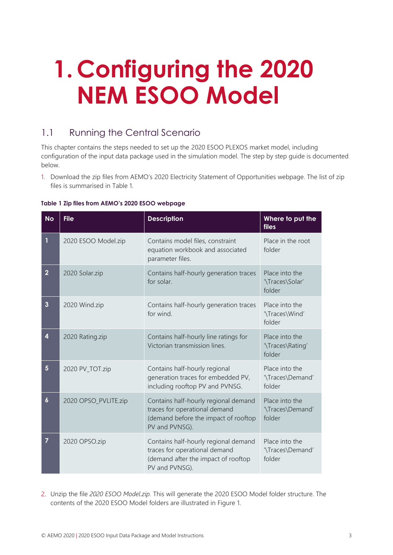# **1. Configuring the 2020 NEM ESOO Model**

### 1.1 Running the Central Scenario

This chapter contains the steps needed to set up the 2020 ESOO PLEXOS market model, including configuration of the input data package used in the simulation model. The step by step guide is documented below.

1. Download the zip files from AEMO's 2020 Electricity Statement of Opportunities webpage. The list of zip files is summarised in [Table 1.](#page-2-0)

| <b>No</b>               | <b>File</b>          | <b>Description</b>                                                                                                              | Where to put the<br><b>files</b>             |
|-------------------------|----------------------|---------------------------------------------------------------------------------------------------------------------------------|----------------------------------------------|
| 1                       | 2020 ESOO Model.zip  | Contains model files, constraint<br>equation workbook and associated<br>parameter files.                                        | Place in the root<br>folder                  |
| $\overline{2}$          | 2020 Solar.zip       | Contains half-hourly generation traces<br>for solar.                                                                            | Place into the<br>'\Traces\Solar'<br>folder  |
| $\overline{\mathbf{3}}$ | 2020 Wind.zip        | Contains half-hourly generation traces<br>for wind.                                                                             | Place into the<br>'\Traces\Wind'<br>folder   |
| 4                       | 2020 Rating.zip      | Contains half-hourly line ratings for<br>Victorian transmission lines.                                                          | Place into the<br>'\Traces\Rating'<br>folder |
| 5                       | 2020 PV_TOT.zip      | Contains half-hourly regional<br>generation traces for embedded PV,<br>including rooftop PV and PVNSG.                          | Place into the<br>'\Traces\Demand'<br>folder |
| $\boldsymbol{6}$        | 2020 OPSO_PVLITE.zip | Contains half-hourly regional demand<br>traces for operational demand<br>(demand before the impact of rooftop<br>PV and PVNSG). | Place into the<br>'\Traces\Demand'<br>folder |
| 7                       | 2020 OPSO.zip        | Contains half-hourly regional demand<br>traces for operational demand<br>(demand after the impact of rooftop<br>PV and PVNSG).  | Place into the<br>'\Traces\Demand'<br>folder |

#### <span id="page-2-0"></span>**Table 1 Zip files from AEMO's 2020 ESOO webpage**

2. Unzip the file *2020 ESOO Model.zip.* This will generate the 2020 ESOO Model folder structure. The contents of the 2020 ESOO Model folders are illustrated in [Figure 1.](#page-3-0)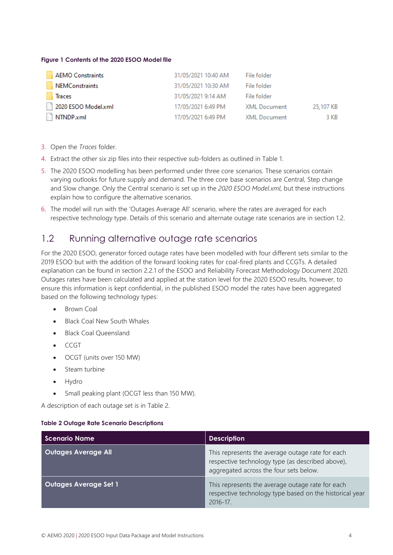#### <span id="page-3-0"></span>**Figure 1 Contents of the 2020 ESOO Model file**

| AEMO Constraints      | 31/05/2021 10:40 AM | File folder         |           |
|-----------------------|---------------------|---------------------|-----------|
| <b>NEMConstraints</b> | 31/05/2021 10:30 AM | File folder         |           |
| <b>Traces</b>         | 31/05/2021 9:14 AM  | File folder         |           |
| 2020 ESOO Model.xml   | 17/05/2021 6:49 PM  | <b>XML Document</b> | 25,107 KB |
| NTNDP.xml             | 17/05/2021 6:49 PM  | <b>XML Document</b> | 3 KB      |

- 3. Open the *Traces* folder.
- 4. Extract the other six zip files into their respective sub-folders as outlined in Table 1.
- 5. The 2020 ESOO modelling has been performed under three core scenarios. These scenarios contain varying outlooks for future supply and demand. The three core base scenarios are Central, Step change and Slow change. Only the Central scenario is set up in the *2020 ESOO Model.xml*, but these instructions explain how to configure the alternative scenarios.
- 6. The model will run with the 'Outages Average All' scenario, where the rates are averaged for each respective technology type. Details of this scenario and alternate outage rate scenarios are in section 1.2.

### 1.2 Running alternative outage rate scenarios

For the 2020 ESOO, generator forced outage rates have been modelled with four different sets similar to the 2019 ESOO but with the addition of the forward looking rates for coal-fired plants and CCGTs. A detailed explanation can be found in section 2.2.1 of the ESOO and Reliability Forecast Methodology Document 2020. Outages rates have been calculated and applied at the station level for the 2020 ESOO results, however, to ensure this information is kept confidential, in the published ESOO model the rates have been aggregated based on the following technology types:

- Brown Coal
- Black Coal New South Whales
- Black Coal Queensland
- CCGT
- OCGT (units over 150 MW)
- Steam turbine
- Hydro
- Small peaking plant (OCGT less than 150 MW).

A description of each outage set is in [Table 2.](#page-3-1)

#### <span id="page-3-1"></span>**Table 2 Outage Rate Scenario Descriptions**

| <b>Scenario Name</b>         | <b>Description</b>                                                                                                                             |
|------------------------------|------------------------------------------------------------------------------------------------------------------------------------------------|
| <b>Outages Average All</b>   | This represents the average outage rate for each<br>respective technology type (as described above),<br>aggregated across the four sets below. |
| <b>Outages Average Set 1</b> | This represents the average outage rate for each<br>respective technology type based on the historical year<br>$2016 - 17$ .                   |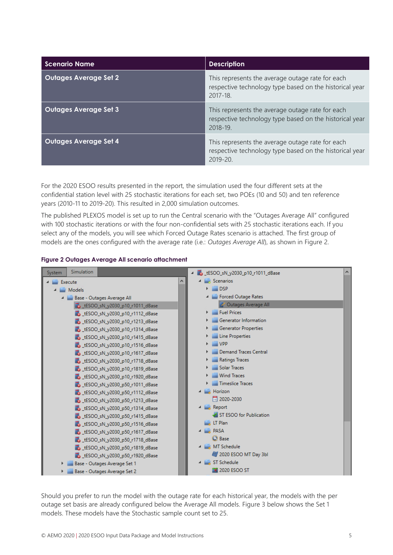| <b>Scenario Name</b>         | <b>Description</b>                                                                                                         |
|------------------------------|----------------------------------------------------------------------------------------------------------------------------|
| <b>Outages Average Set 2</b> | This represents the average outage rate for each<br>respective technology type based on the historical year<br>2017-18.    |
| <b>Outages Average Set 3</b> | This represents the average outage rate for each<br>respective technology type based on the historical year<br>2018-19     |
| <b>Outages Average Set 4</b> | This represents the average outage rate for each<br>respective technology type based on the historical year<br>$2019 - 20$ |

For the 2020 ESOO results presented in the report, the simulation used the four different sets at the confidential station level with 25 stochastic iterations for each set, two POEs (10 and 50) and ten reference years (2010-11 to 2019-20). This resulted in 2,000 simulation outcomes.

The published PLEXOS model is set up to run the Central scenario with the "Outages Average All" configured with 100 stochastic iterations or with the four non-confidential sets with 25 stochastic iterations each. If you select any of the models, you will see which Forced Outage Rates scenario is attached. The first group of models are the ones configured with the average rate (i.e.: *Outages Average All*), as shown in [Figure 2.](#page-4-0)

<span id="page-4-0"></span>



Should you prefer to run the model with the outage rate for each historical year, the models with the per outage set basis are already configured below the Average All models. [Figure 3](#page-5-0) below shows the Set 1 models. These models have the Stochastic sample count set to 25.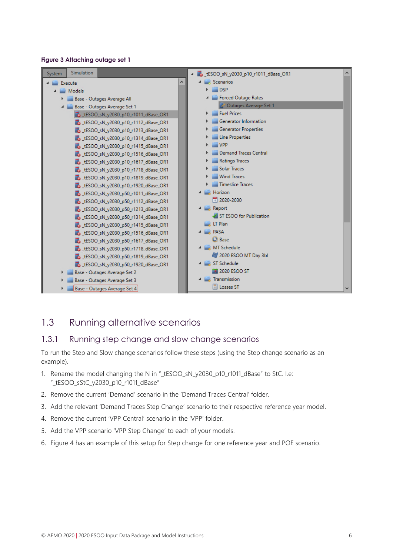#### <span id="page-5-0"></span>**Figure 3 Attaching outage set 1**



### 1.3 Running alternative scenarios

#### 1.3.1 Running step change and slow change scenarios

To run the Step and Slow change scenarios follow these steps (using the Step change scenario as an example).

- 1. Rename the model changing the N in "\_tESOO\_sN\_y2030\_p10\_r1011\_dBase" to StC. I.e: "\_tESOO\_sStC\_y2030\_p10\_r1011\_dBase"
- 2. Remove the current 'Demand' scenario in the 'Demand Traces Central' folder.
- 3. Add the relevant 'Demand Traces Step Change' scenario to their respective reference year model.
- 4. Remove the current 'VPP Central' scenario in the 'VPP' folder.
- 5. Add the VPP scenario 'VPP Step Change' to each of your models.
- 6. [Figure 4](#page-6-0) has an example of this setup for Step change for one reference year and POE scenario.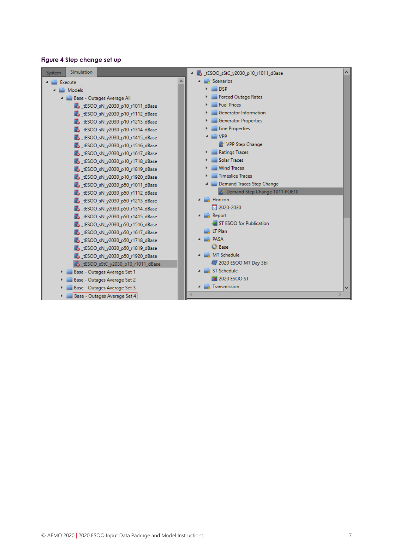#### <span id="page-6-0"></span>**Figure 4 Step change set up**

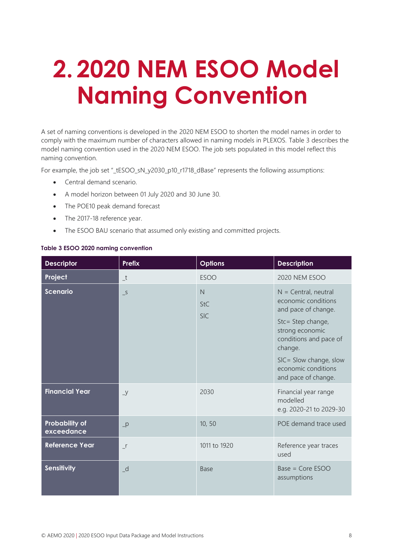# **2. 2020 NEM ESOO Model Naming Convention**

A set of naming conventions is developed in the 2020 NEM ESOO to shorten the model names in order to comply with the maximum number of characters allowed in naming models in PLEXOS. [Table 3](#page-7-0) describes the model naming convention used in the 2020 NEM ESOO. The job sets populated in this model reflect this naming convention.

For example, the job set "\_tESOO\_sN\_y2030\_p10\_r1718\_dBase" represents the following assumptions:

- Central demand scenario.
- A model horizon between 01 July 2020 and 30 June 30.
- The POE10 peak demand forecast
- The 2017-18 reference year.
- The ESOO BAU scenario that assumed only existing and committed projects.

<span id="page-7-0"></span>

|  |  |  |  |  | Table 3 ESOO 2020 naming convention |
|--|--|--|--|--|-------------------------------------|
|--|--|--|--|--|-------------------------------------|

| <b>Descriptor</b>                   | Prefix                     | <b>Options</b>                | <b>Description</b>                                                                                                                                                                                                        |
|-------------------------------------|----------------------------|-------------------------------|---------------------------------------------------------------------------------------------------------------------------------------------------------------------------------------------------------------------------|
| Project                             | $\_t$                      | <b>ESOO</b>                   | 2020 NEM ESOO                                                                                                                                                                                                             |
| <b>Scenario</b>                     | $\overline{\phantom{0}}^S$ | N<br><b>StC</b><br><b>SIC</b> | $N =$ Central, neutral<br>economic conditions<br>and pace of change.<br>Stc= Step change,<br>strong economic<br>conditions and pace of<br>change.<br>SIC= Slow change, slow<br>economic conditions<br>and pace of change. |
| <b>Financial Year</b>               | $\overline{y}$             | 2030                          | Financial year range<br>modelled<br>e.g. 2020-21 to 2029-30                                                                                                                                                               |
| <b>Probability of</b><br>exceedance | $-p$                       | 10, 50                        | POE demand trace used                                                                                                                                                                                                     |
| Reference Year                      | $\mathbf{r}$               | 1011 to 1920                  | Reference year traces<br>used                                                                                                                                                                                             |
| <b>Sensitivity</b>                  | $-d$                       | <b>Base</b>                   | Base = Core ESOO<br>assumptions                                                                                                                                                                                           |